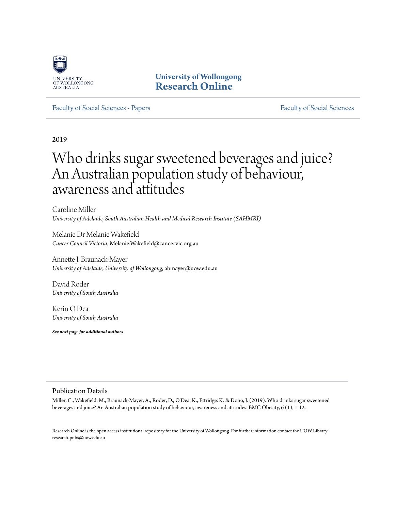

**University of Wollongong [Research Online](https://ro.uow.edu.au)**

[Faculty of Social Sciences - Papers](https://ro.uow.edu.au/sspapers) [Faculty of Social Sciences](https://ro.uow.edu.au/ss) - Papers Faculty of Social Sciences

2019

## Who drinks sugar sweetened beverages and juice? An Australian population study of behaviour, awareness and attitudes

Caroline Miller *University of Adelaide, South Australian Health and Medical Research Institute (SAHMRI)*

Melanie Dr Melanie Wakefield *Cancer Council Victoria*, Melanie.Wakefield@cancervic.org.au

Annette J. Braunack-Mayer *University of Adelaide, University of Wollongong*, abmayer@uow.edu.au

David Roder *University of South Australia*

Kerin O'Dea *University of South Australia*

*See next page for additional authors*

## Publication Details

Miller, C., Wakefield, M., Braunack-Mayer, A., Roder, D., O'Dea, K., Ettridge, K. & Dono, J. (2019). Who drinks sugar sweetened beverages and juice? An Australian population study of behaviour, awareness and attitudes. BMC Obesity, 6 (1), 1-12.

Research Online is the open access institutional repository for the University of Wollongong. For further information contact the UOW Library: research-pubs@uow.edu.au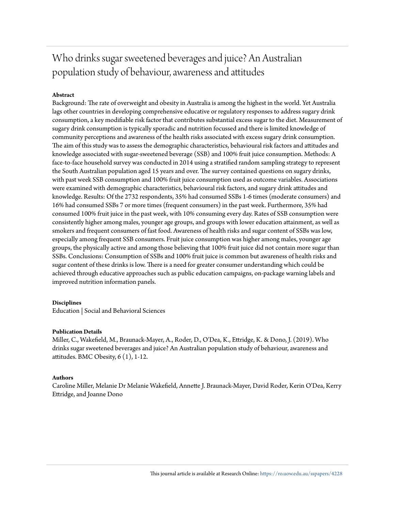## Who drinks sugar sweetened beverages and juice? An Australian population study of behaviour, awareness and attitudes

## **Abstract**

Background: The rate of overweight and obesity in Australia is among the highest in the world. Yet Australia lags other countries in developing comprehensive educative or regulatory responses to address sugary drink consumption, a key modifiable risk factor that contributes substantial excess sugar to the diet. Measurement of sugary drink consumption is typically sporadic and nutrition focussed and there is limited knowledge of community perceptions and awareness of the health risks associated with excess sugary drink consumption. The aim of this study was to assess the demographic characteristics, behavioural risk factors and attitudes and knowledge associated with sugar-sweetened beverage (SSB) and 100% fruit juice consumption. Methods: A face-to-face household survey was conducted in 2014 using a stratified random sampling strategy to represent the South Australian population aged 15 years and over. The survey contained questions on sugary drinks, with past week SSB consumption and 100% fruit juice consumption used as outcome variables. Associations were examined with demographic characteristics, behavioural risk factors, and sugary drink attitudes and knowledge. Results: Of the 2732 respondents, 35% had consumed SSBs 1-6 times (moderate consumers) and 16% had consumed SSBs 7 or more times (frequent consumers) in the past week. Furthermore, 35% had consumed 100% fruit juice in the past week, with 10% consuming every day. Rates of SSB consumption were consistently higher among males, younger age groups, and groups with lower education attainment, as well as smokers and frequent consumers of fast food. Awareness of health risks and sugar content of SSBs was low, especially among frequent SSB consumers. Fruit juice consumption was higher among males, younger age groups, the physically active and among those believing that 100% fruit juice did not contain more sugar than SSBs. Conclusions: Consumption of SSBs and 100% fruit juice is common but awareness of health risks and sugar content of these drinks is low. There is a need for greater consumer understanding which could be achieved through educative approaches such as public education campaigns, on-package warning labels and improved nutrition information panels.

## **Disciplines**

Education | Social and Behavioral Sciences

## **Publication Details**

Miller, C., Wakefield, M., Braunack-Mayer, A., Roder, D., O'Dea, K., Ettridge, K. & Dono, J. (2019). Who drinks sugar sweetened beverages and juice? An Australian population study of behaviour, awareness and attitudes. BMC Obesity, 6 (1), 1-12.

## **Authors**

Caroline Miller, Melanie Dr Melanie Wakefield, Annette J. Braunack-Mayer, David Roder, Kerin O'Dea, Kerry Ettridge, and Joanne Dono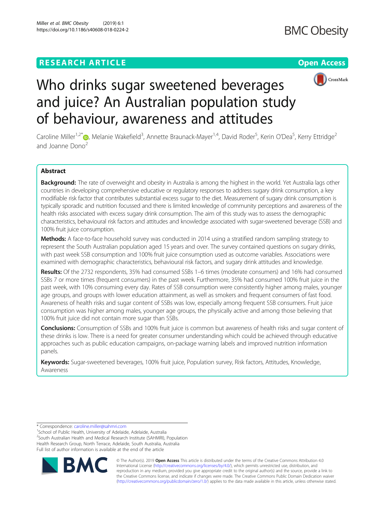## **RESEARCH ARTICLE Example 2014 12:30 The Contract of Contract ACCESS**



# Who drinks sugar sweetened beverages and juice? An Australian population study of behaviour, awareness and attitudes

Caroline Miller<sup>1,2[\\*](http://orcid.org/0000-0001-9723-8047)</sup>®, Melanie Wakefield<sup>3</sup>, Annette Braunack-Mayer<sup>1,4</sup>, David Roder<sup>5</sup>, Kerin O'Dea<sup>5</sup>, Kerry Ettridge<sup>2</sup> and Joanne Dono<sup>2</sup>

## Abstract

Background: The rate of overweight and obesity in Australia is among the highest in the world. Yet Australia lags other countries in developing comprehensive educative or regulatory responses to address sugary drink consumption, a key modifiable risk factor that contributes substantial excess sugar to the diet. Measurement of sugary drink consumption is typically sporadic and nutrition focussed and there is limited knowledge of community perceptions and awareness of the health risks associated with excess sugary drink consumption. The aim of this study was to assess the demographic characteristics, behavioural risk factors and attitudes and knowledge associated with sugar-sweetened beverage (SSB) and 100% fruit juice consumption.

Methods: A face-to-face household survey was conducted in 2014 using a stratified random sampling strategy to represent the South Australian population aged 15 years and over. The survey contained questions on sugary drinks, with past week SSB consumption and 100% fruit juice consumption used as outcome variables. Associations were examined with demographic characteristics, behavioural risk factors, and sugary drink attitudes and knowledge.

Results: Of the 2732 respondents, 35% had consumed SSBs 1–6 times (moderate consumers) and 16% had consumed SSBs 7 or more times (frequent consumers) in the past week. Furthermore, 35% had consumed 100% fruit juice in the past week, with 10% consuming every day. Rates of SSB consumption were consistently higher among males, younger age groups, and groups with lower education attainment, as well as smokers and frequent consumers of fast food. Awareness of health risks and sugar content of SSBs was low, especially among frequent SSB consumers. Fruit juice consumption was higher among males, younger age groups, the physically active and among those believing that 100% fruit juice did not contain more sugar than SSBs.

Conclusions: Consumption of SSBs and 100% fruit juice is common but awareness of health risks and sugar content of these drinks is low. There is a need for greater consumer understanding which could be achieved through educative approaches such as public education campaigns, on-package warning labels and improved nutrition information panels.

Keywords: Sugar-sweetened beverages, 100% fruit juice, Population survey, Risk factors, Attitudes, Knowledge, Awareness

\* Correspondence: [caroline.miller@sahmri.com](mailto:caroline.miller@sahmri.com) <sup>1</sup>

<sup>1</sup>School of Public Health, University of Adelaide, Adelaide, Australia 2 South Australian Health and Medical Research Institute (SAHMRI), Population Health Research Group, North Terrace, Adelaide, South Australia, Australia Full list of author information is available at the end of the article



© The Author(s). 2019 **Open Access** This article is distributed under the terms of the Creative Commons Attribution 4.0 International License [\(http://creativecommons.org/licenses/by/4.0/](http://creativecommons.org/licenses/by/4.0/)), which permits unrestricted use, distribution, and reproduction in any medium, provided you give appropriate credit to the original author(s) and the source, provide a link to the Creative Commons license, and indicate if changes were made. The Creative Commons Public Domain Dedication waiver [\(http://creativecommons.org/publicdomain/zero/1.0/](http://creativecommons.org/publicdomain/zero/1.0/)) applies to the data made available in this article, unless otherwise stated.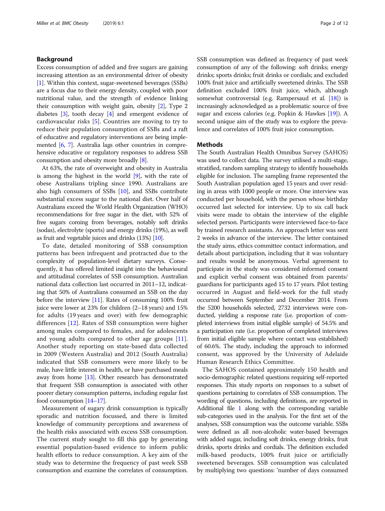## Background

Excess consumption of added and free sugars are gaining increasing attention as an environmental driver of obesity [[1\]](#page-12-0). Within this context, sugar-sweetened beverages (SSBs) are a focus due to their energy density, coupled with poor nutritional value, and the strength of evidence linking their consumption with weight gain, obesity [\[2](#page-12-0)], Type 2 diabetes  $[3]$  $[3]$ , tooth decay  $[4]$  $[4]$  and emergent evidence of cardiovascular risks [[5\]](#page-12-0). Countries are moving to try to reduce their population consumption of SSBs and a raft of educative and regulatory interventions are being implemented [\[6,](#page-12-0) [7\]](#page-12-0). Australia lags other countries in comprehensive educative or regulatory responses to address SSB consumption and obesity more broadly [\[8](#page-12-0)].

At 63%, the rate of overweight and obesity in Australia is among the highest in the world [\[9](#page-12-0)], with the rate of obese Australians tripling since 1990. Australians are also high consumers of SSBs [\[10\]](#page-12-0), and SSBs contribute substantial excess sugar to the national diet. Over half of Australians exceed the World Health Organization (WHO) recommendations for free sugar in the diet, with 52% of free sugars coming from beverages, notably soft drinks (sodas), electrolyte (sports) and energy drinks (19%), as well as fruit and vegetable juices and drinks (13%) [\[10\]](#page-12-0).

To date, detailed monitoring of SSB consumption patterns has been infrequent and protracted due to the complexity of population-level dietary surveys. Consequently, it has offered limited insight into the behavioural and attitudinal correlates of SSB consumption. Australian national data collection last occurred in 2011–12, indicating that 50% of Australians consumed an SSB on the day before the interview [[11](#page-12-0)]. Rates of consuming 100% fruit juice were lower at 23% for children (2–18 years) and 15% for adults (19 years and over) with few demographic differences [\[12](#page-12-0)]. Rates of SSB consumption were higher among males compared to females, and for adolescents and young adults compared to other age groups [\[11](#page-12-0)]. Another study reporting on state-based data collected in 2009 (Western Australia) and 2012 (South Australia) indicated that SSB consumers were more likely to be male, have little interest in health, or have purchased meals away from home [\[13\]](#page-12-0). Other research has demonstrated that frequent SSB consumption is associated with other poorer dietary consumption patterns, including regular fast food consumption [[14](#page-12-0)–[17\]](#page-12-0).

Measurement of sugary drink consumption is typically sporadic and nutrition focussed, and there is limited knowledge of community perceptions and awareness of the health risks associated with excess SSB consumption. The current study sought to fill this gap by generating essential population-based evidence to inform public health efforts to reduce consumption. A key aim of the study was to determine the frequency of past week SSB consumption and examine the correlates of consumption. SSB consumption was defined as frequency of past week consumption of any of the following: soft drinks; energy drinks; sports drinks; fruit drinks or cordials; and excluded 100% fruit juice and artificially sweetened drinks. The SSB definition excluded 100% fruit juice, which, although somewhat controversial (e.g. Rampersaud et al. [[18](#page-12-0)]) is increasingly acknowledged as a problematic source of free sugar and excess calories (e.g. Popkin & Hawkes [\[19\]](#page-12-0)). A second unique aim of the study was to explore the prevalence and correlates of 100% fruit juice consumption.

## Methods

The South Australian Health Omnibus Survey (SAHOS) was used to collect data. The survey utilised a multi-stage, stratified, random sampling strategy to identify households eligible for inclusion. The sampling frame represented the South Australian population aged 15 years and over residing in areas with 1000 people or more. One interview was conducted per household, with the person whose birthday occurred last selected for interview. Up to six call back visits were made to obtain the interview of the eligible selected person. Participants were interviewed face-to-face by trained research assistants. An approach letter was sent 2 weeks in advance of the interview. The letter contained the study aims, ethics committee contact information, and details about participation, including that it was voluntary and results would be anonymous. Verbal agreement to participate in the study was considered informed consent and explicit verbal consent was obtained from parents/ guardians for participants aged 15 to 17 years. Pilot testing occurred in August and field-work for the full study occurred between September and December 2014. From the 5200 households selected, 2732 interviews were conducted, yielding a response rate (i.e. proportion of completed interviews from initial eligible sample) of 54.5% and a participation rate (i.e. proportion of completed interviews from initial eligible sample where contact was established) of 60.6%. The study, including the approach to informed consent, was approved by the University of Adelaide Human Research Ethics Committee.

The SAHOS contained approximately 150 health and socio-demographic related questions requiring self-reported responses. This study reports on responses to a subset of questions pertaining to correlates of SSB consumption. The wording of questions, including definitions, are reported in Additional file [1](#page-12-0) along with the corresponding variable sub-categories used in the analysis. For the first set of the analyses, SSB consumption was the outcome variable. SSBs were defined as all non-alcoholic water-based beverages with added sugar, including soft drinks, energy drinks, fruit drinks, sports drinks and cordials. The definition excluded milk-based products, 100% fruit juice or artificially sweetened beverages. SSB consumption was calculated by multiplying two questions: 'number of days consumed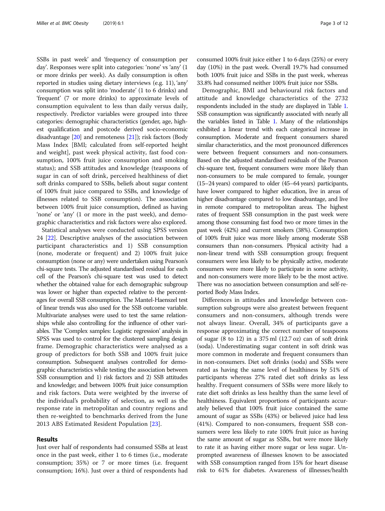SSBs in past week' and 'frequency of consumption per day'. Responses were split into categories: 'none' vs 'any' (1 or more drinks per week). As daily consumption is often reported in studies using dietary interviews (e.g. 11), 'any' consumption was split into 'moderate' (1 to 6 drinks) and 'frequent' (7 or more drinks) to approximate levels of consumption equivalent to less than daily versus daily, respectively. Predictor variables were grouped into three categories: demographic characteristics (gender, age, highest qualification and postcode derived socio-economic disadvantage [[20](#page-12-0)] and remoteness [[21\]](#page-12-0)); risk factors (Body Mass Index [BMI; calculated from self-reported height and weight], past week physical activity, fast food consumption, 100% fruit juice consumption and smoking status); and SSB attitudes and knowledge (teaspoons of sugar in can of soft drink, perceived healthiness of diet soft drinks compared to SSBs, beliefs about sugar content of 100% fruit juice compared to SSBs, and knowledge of illnesses related to SSB consumption). The association between 100% fruit juice consumption, defined as having 'none' or 'any' (1 or more in the past week), and demographic characteristics and risk factors were also explored.

Statistical analyses were conducted using SPSS version 24 [[22](#page-13-0)]. Descriptive analyses of the association between participant characteristics and 1) SSB consumption (none, moderate or frequent) and 2) 100% fruit juice consumption (none or any) were undertaken using Pearson's chi-square tests. The adjusted standardised residual for each cell of the Pearson's chi-square test was used to detect whether the obtained value for each demographic subgroup was lower or higher than expected relative to the percentages for overall SSB consumption. The Mantel-Haenszel test of linear trends was also used for the SSB outcome variable. Multivariate analyses were used to test the same relationships while also controlling for the influence of other variables. The 'Complex samples: Logistic regression' analysis in SPSS was used to control for the clustered sampling design frame. Demographic characteristics were analysed as a group of predictors for both SSB and 100% fruit juice consumption. Subsequent analyses controlled for demographic characteristics while testing the association between SSB consumption and 1) risk factors and 2) SSB attitudes and knowledge; and between 100% fruit juice consumption and risk factors. Data were weighted by the inverse of the individual's probability of selection, as well as the response rate in metropolitan and country regions and then re-weighted to benchmarks derived from the June 2013 ABS Estimated Resident Population [[23\]](#page-13-0).

### Results

Just over half of respondents had consumed SSBs at least once in the past week, either 1 to 6 times (i.e., moderate consumption; 35%) or 7 or more times (i.e. frequent consumption; 16%). Just over a third of respondents had consumed 100% fruit juice either 1 to 6 days (25%) or every day (10%) in the past week. Overall 19.7% had consumed both 100% fruit juice and SSBs in the past week, whereas 33.8% had consumed neither 100% fruit juice nor SSBs.

Demographic, BMI and behavioural risk factors and attitude and knowledge characteristics of the 2732 respondents included in the study are displayed in Table [1](#page-5-0). SSB consumption was significantly associated with nearly all the variables listed in Table [1.](#page-5-0) Many of the relationships exhibited a linear trend with each categorical increase in consumption. Moderate and frequent consumers shared similar characteristics, and the most pronounced differences were between frequent consumers and non-consumers. Based on the adjusted standardised residuals of the Pearson chi-square test, frequent consumers were more likely than non-consumers to be male compared to female, younger (15–24 years) compared to older (45–64 years) participants, have lower compared to higher education, live in areas of higher disadvantage compared to low disadvantage, and live in remote compared to metropolitan areas. The highest rates of frequent SSB consumption in the past week were among those consuming fast food two or more times in the past week (42%) and current smokers (38%). Consumption of 100% fruit juice was more likely among moderate SSB consumers than non-consumers. Physical activity had a non-linear trend with SSB consumption group; frequent consumers were less likely to be physically active, moderate consumers were more likely to participate in some activity, and non-consumers were more likely to be the most active. There was no association between consumption and self-reported Body Mass Index.

Differences in attitudes and knowledge between consumption subgroups were also greatest between frequent consumers and non-consumers, although trends were not always linear. Overall, 34% of participants gave a response approximating the correct number of teaspoons of sugar  $(8 \text{ to } 12)$  in a 375 ml  $(12.7 \text{ oz})$  can of soft drink (soda). Underestimating sugar content in soft drink was more common in moderate and frequent consumers than in non-consumers. Diet soft drinks (soda) and SSBs were rated as having the same level of healthiness by 51% of participants whereas 27% rated diet soft drinks as less healthy. Frequent consumers of SSBs were more likely to rate diet soft drinks as less healthy than the same level of healthiness. Equivalent proportions of participants accurately believed that 100% fruit juice contained the same amount of sugar as SSBs (43%) or believed juice had less (41%). Compared to non-consumers, frequent SSB consumers were less likely to rate 100% fruit juice as having the same amount of sugar as SSBs, but were more likely to rate it as having either more sugar or less sugar. Unprompted awareness of illnesses known to be associated with SSB consumption ranged from 15% for heart disease risk to 61% for diabetes. Awareness of illnesses/health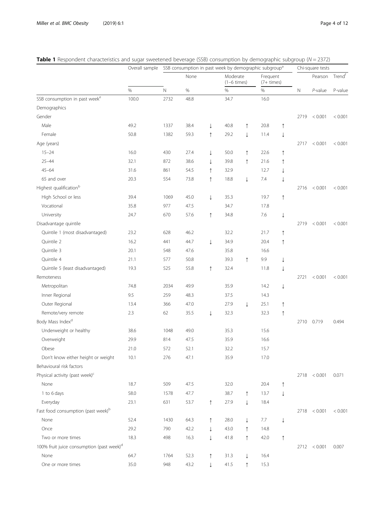|                                                       | Overall sample |             | SSB consumption in past week by demographic subgroup <sup>a</sup> |              |                            |              |                           |            |      | Chi-square tests |                    |
|-------------------------------------------------------|----------------|-------------|-------------------------------------------------------------------|--------------|----------------------------|--------------|---------------------------|------------|------|------------------|--------------------|
|                                                       |                |             | None                                                              |              | Moderate<br>$(1-6 \times)$ |              | Frequent<br>$(7 + times)$ |            |      | Pearson          | Trend <sup>t</sup> |
|                                                       | $\%$           | $\mathbb N$ | $\%$                                                              |              | $\%$                       |              | $\%$                      |            | Ν    | $P$ -value       | P-value            |
| SSB consumption in past week <sup>e</sup>             | 100.0          | 2732        | 48.8                                                              |              | 34.7                       |              | 16.0                      |            |      |                  |                    |
| Demographics                                          |                |             |                                                                   |              |                            |              |                           |            |      |                  |                    |
| Gender                                                |                |             |                                                                   |              |                            |              |                           |            |      | 2719 < 0.001     | < 0.001            |
| Male                                                  | 49.2           | 1337        | 38.4                                                              | T            | 40.8                       | $\uparrow$   | 20.8                      | $\uparrow$ |      |                  |                    |
| Female                                                | 50.8           | 1382        | 59.3                                                              | $\uparrow$   | 29.2                       | $\downarrow$ | 11.4                      | ↓          |      |                  |                    |
| Age (years)                                           |                |             |                                                                   |              |                            |              |                           |            | 2717 | < 0.001          | < 0.001            |
| $15 - 24$                                             | 16.0           | 430         | 27.4                                                              | ↓            | 50.0                       | $\uparrow$   | 22.6                      | $\uparrow$ |      |                  |                    |
| $25 - 44$                                             | 32.1           | 872         | 38.6                                                              | T            | 39.8                       | $\uparrow$   | 21.6                      | $\uparrow$ |      |                  |                    |
| $45 - 64$                                             | 31.6           | 861         | 54.5                                                              | $\uparrow$   | 32.9                       |              | 12.7                      | ↓          |      |                  |                    |
| 65 and over                                           | 20.3           | 554         | 73.8                                                              | $\uparrow$   | 18.8                       | $\downarrow$ | 7.4                       | ↓          |      |                  |                    |
| Highest qualification <sup>b</sup>                    |                |             |                                                                   |              |                            |              |                           |            |      | 2716 < 0.001     | < 0.001            |
| High School or less                                   | 39.4           | 1069        | 45.0                                                              | ↓            | 35.3                       |              | 19.7                      | $\uparrow$ |      |                  |                    |
| Vocational                                            | 35.8           | 977         | 47.5                                                              |              | 34.7                       |              | 17.8                      |            |      |                  |                    |
| University                                            | 24.7           | 670         | 57.6                                                              | $\uparrow$   | 34.8                       |              | 7.6                       | ↓          |      |                  |                    |
| Disadvantage quintile                                 |                |             |                                                                   |              |                            |              |                           |            | 2719 | < 0.001          | < 0.001            |
| Quintile 1 (most disadvantaged)                       | 23.2           | 628         | 46.2                                                              |              | 32.2                       |              | 21.7                      | $\uparrow$ |      |                  |                    |
| Quintile 2                                            | 16.2           | 441         | 44.7                                                              | $\downarrow$ | 34.9                       |              | 20.4                      | $\uparrow$ |      |                  |                    |
| Quintile 3                                            | 20.1           | 548         | 47.6                                                              |              | 35.8                       |              | 16.6                      |            |      |                  |                    |
| Quintile 4                                            | 21.1           | 577         | 50.8                                                              |              | 39.3                       | $\uparrow$   | 9.9                       | ↓          |      |                  |                    |
| Quintile 5 (least disadvantaged)                      | 19.3           | 525         | 55.8                                                              | $\uparrow$   | 32.4                       |              | 11.8                      | ↓          |      |                  |                    |
| Remoteness                                            |                |             |                                                                   |              |                            |              |                           |            | 2721 | < 0.001          | < 0.001            |
| Metropolitan                                          | 74.8           | 2034        | 49.9                                                              |              | 35.9                       |              | 14.2                      | ↓          |      |                  |                    |
| Inner Regional                                        | 9.5            | 259         | 48.3                                                              |              | 37.5                       |              | 14.3                      |            |      |                  |                    |
| Outer Regional                                        | 13.4           | 366         | 47.0                                                              |              | 27.9                       | $\downarrow$ | 25.1                      | $\uparrow$ |      |                  |                    |
| Remote/very remote                                    | 2.3            | 62          | 35.5                                                              | ↓            | 32.3                       |              | 32.3                      | $\uparrow$ |      |                  |                    |
| Body Mass Index <sup>d</sup>                          |                |             |                                                                   |              |                            |              |                           |            | 2710 | 0.719            | 0.494              |
| Underweight or healthy                                | 38.6           | 1048        | 49.0                                                              |              | 35.3                       |              | 15.6                      |            |      |                  |                    |
| Overweight                                            | 29.9           | 814         | 47.5                                                              |              | 35.9                       |              | 16.6                      |            |      |                  |                    |
| Obese                                                 | 21.0           | 572         | 52.1                                                              |              | 32.2                       |              | 15.7                      |            |      |                  |                    |
| Don't know either height or weight                    | 10.1           | 276         | 47.1                                                              |              | 35.9                       |              | 17.0                      |            |      |                  |                    |
| Behavioural risk factors                              |                |             |                                                                   |              |                            |              |                           |            |      |                  |                    |
| Physical activity (past week) <sup>c</sup>            |                |             |                                                                   |              |                            |              |                           |            |      | 2718 < 0.001     | 0.071              |
| None                                                  | 18.7           | 509         | 47.5                                                              |              | 32.0                       |              | 20.4                      | $\uparrow$ |      |                  |                    |
| 1 to 6 days                                           | 58.0           | 1578        | 47.7                                                              |              | 38.7                       | $\uparrow$   | 13.7                      | T          |      |                  |                    |
| Everyday                                              | 23.1           | 631         | 53.7                                                              | $\uparrow$   | 27.9                       | $\downarrow$ | 18.4                      |            |      |                  |                    |
| Fast food consumption (past week) <sup>b</sup>        |                |             |                                                                   |              |                            |              |                           |            |      | 2718 < 0.001     | < 0.001            |
| None                                                  | 52.4           | 1430        | 64.3                                                              | $\uparrow$   | 28.0                       | $\downarrow$ | 7.7                       | ↓          |      |                  |                    |
| Once                                                  | 29.2           | 790         | 42.2                                                              | $\downarrow$ | 43.0                       | $\uparrow$   | 14.8                      |            |      |                  |                    |
| Two or more times                                     | 18.3           | 498         | 16.3                                                              | ↓            | 41.8                       | $\uparrow$   | 42.0                      | $\uparrow$ |      |                  |                    |
| 100% fruit juice consumption (past week) <sup>d</sup> |                |             |                                                                   |              |                            |              |                           |            |      | 2712 < 0.001     | 0.007              |
| None                                                  | 64.7           | 1764        | 52.3                                                              | ↑            | 31.3                       |              | 16.4                      |            |      |                  |                    |

One or more times 35.0 948 43.2 ↓ 41.5 ↑ 15.3

## <span id="page-5-0"></span>**Table 1** Respondent characteristics and sugar sweetened beverage (SSB) consumption by demographic subgroup ( $N = 2372$ )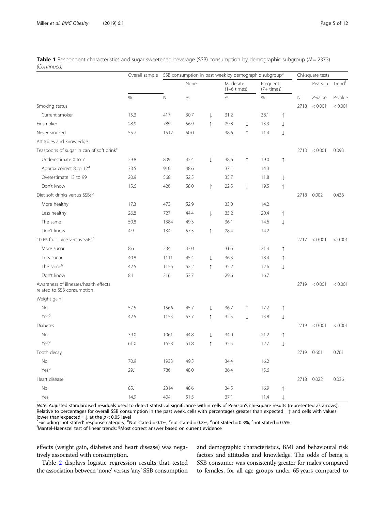|                                                                     |      | Overall sample SSB consumption in past week by demographic subgroup <sup>a</sup> |      |              |                            |              | Chi-square tests          |              |      |            |                    |
|---------------------------------------------------------------------|------|----------------------------------------------------------------------------------|------|--------------|----------------------------|--------------|---------------------------|--------------|------|------------|--------------------|
|                                                                     |      |                                                                                  | None |              | Moderate<br>$(1-6 \times)$ |              | Frequent<br>$(7 + times)$ |              |      | Pearson    | Trend <sup>t</sup> |
|                                                                     | $\%$ | $\mathbb N$                                                                      | $\%$ |              | $\%$                       |              | $\%$                      |              | Ν    | P-value    | P-value            |
| Smoking status                                                      |      |                                                                                  |      |              |                            |              |                           |              | 2718 | < 0.001    | < 0.001            |
| Current smoker                                                      | 15.3 | 417                                                                              | 30.7 | $\downarrow$ | 31.2                       |              | 38.1                      | $\uparrow$   |      |            |                    |
| Ex-smoker                                                           | 28.9 | 789                                                                              | 56.9 | $\uparrow$   | 29.8                       | $\downarrow$ | 13.3                      | $\downarrow$ |      |            |                    |
| Never smoked                                                        | 55.7 | 1512                                                                             | 50.0 |              | 38.6                       | $\uparrow$   | 11.4                      | $\downarrow$ |      |            |                    |
| Attitudes and knowledge                                             |      |                                                                                  |      |              |                            |              |                           |              |      |            |                    |
| Teaspoons of sugar in can of soft drink <sup>c</sup>                |      |                                                                                  |      |              |                            |              |                           |              | 2713 | < 0.001    | 0.093              |
| Underestimate 0 to 7                                                | 29.8 | 809                                                                              | 42.4 | $\downarrow$ | 38.6                       | $\uparrow$   | 19.0                      | $\uparrow$   |      |            |                    |
| Approx correct 8 to 12 <sup>9</sup>                                 | 33.5 | 910                                                                              | 48.6 |              | 37.1                       |              | 14.3                      |              |      |            |                    |
| Overestimate 13 to 99                                               | 20.9 | 568                                                                              | 52.5 |              | 35.7                       |              | 11.8                      | $\downarrow$ |      |            |                    |
| Don't know                                                          | 15.6 | 426                                                                              | 58.0 | $\uparrow$   | 22.5                       | ↓            | 19.5                      | $\uparrow$   |      |            |                    |
| Diet soft drinks versus SSBsb                                       |      |                                                                                  |      |              |                            |              |                           |              | 2718 | 0.002      | 0.436              |
| More healthy                                                        | 17.3 | 473                                                                              | 52.9 |              | 33.0                       |              | 14.2                      |              |      |            |                    |
| Less healthy                                                        | 26.8 | 727                                                                              | 44.4 | $\downarrow$ | 35.2                       |              | 20.4                      | $\uparrow$   |      |            |                    |
| The same                                                            | 50.8 | 1384                                                                             | 49.3 |              | 36.1                       |              | 14.6                      | T            |      |            |                    |
| Don't know                                                          | 4.9  | 134                                                                              | 57.5 | $\uparrow$   | 28.4                       |              | 14.2                      |              |      |            |                    |
| 100% fruit juice versus SSBsb                                       |      |                                                                                  |      |              |                            |              |                           |              | 2717 | < 0.001    | < 0.001            |
| More sugar                                                          | 8.6  | 234                                                                              | 47.0 |              | 31.6                       |              | 21.4                      | $\uparrow$   |      |            |                    |
| Less sugar                                                          | 40.8 | 1111                                                                             | 45.4 | $\downarrow$ | 36.3                       |              | 18.4                      | $\uparrow$   |      |            |                    |
| The same <sup>9</sup>                                               | 42.5 | 1156                                                                             | 52.2 | $\uparrow$   | 35.2                       |              | 12.6                      | T            |      |            |                    |
| Don't know                                                          | 8.1  | 216                                                                              | 53.7 |              | 29.6                       |              | 16.7                      |              |      |            |                    |
| Awareness of illnesses/health effects<br>related to SSB consumption |      |                                                                                  |      |              |                            |              |                           |              | 2719 | < 0.001    | < 0.001            |
| Weight gain                                                         |      |                                                                                  |      |              |                            |              |                           |              |      |            |                    |
| <b>No</b>                                                           | 57.5 | 1566                                                                             | 45.7 | $\downarrow$ | 36.7                       | $\uparrow$   | 17.7                      | ↑            |      |            |                    |
| Yes <sup>g</sup>                                                    | 42.5 | 1153                                                                             | 53.7 | $\uparrow$   | 32.5                       | $\downarrow$ | 13.8                      | $\downarrow$ |      |            |                    |
| Diabetes                                                            |      |                                                                                  |      |              |                            |              |                           |              | 2719 | < 0.001    | < 0.001            |
| No                                                                  | 39.0 | 1061                                                                             | 44.8 | $\downarrow$ | 34.0                       |              | 21.2                      | $\uparrow$   |      |            |                    |
| Yes <sup>g</sup>                                                    | 61.0 | 1658                                                                             | 51.8 | $\uparrow$   | 35.5                       |              | 12.7                      | $\downarrow$ |      |            |                    |
| Tooth decay                                                         |      |                                                                                  |      |              |                            |              |                           |              | 2719 | 0.601      | 0.761              |
| No                                                                  | 70.9 | 1933                                                                             | 49.5 |              | 34.4                       |              | 16.2                      |              |      |            |                    |
| Yes <sup>g</sup>                                                    | 29.1 | 786                                                                              | 48.0 |              | 36.4                       |              | 15.6                      |              |      |            |                    |
| Heart disease                                                       |      |                                                                                  |      |              |                            |              |                           |              |      | 2718 0.022 | 0.036              |
| No                                                                  | 85.1 | 2314                                                                             | 48.6 |              | 34.5                       |              | 16.9                      | $\uparrow$   |      |            |                    |
| Yes                                                                 | 14.9 | 404                                                                              | 51.5 |              | 37.1                       |              | 11.4                      | T            |      |            |                    |

Table 1 Respondent characteristics and sugar sweetened beverage (SSB) consumption by demographic subgroup ( $N = 2372$ ) (Continued)

Note: Adjusted standardised residuals used to detect statistical significance within cells of Pearson's chi-square results (represented as arrows); Relative to percentages for overall SSB consumption in the past week, cells with percentages greater than expected = ↑ and cells with values lower than expected =  $\downarrow$  at the  $p < 0.05$  level

<sup>a</sup> Excluding 'not stated' response category; <sup>b</sup> Not stated = 0.1%, <sup>c</sup>not stated = 0.2%, <sup>d</sup> not stated = 0.3%, <sup>e</sup>not stated = 0.5%<br><sup>[Mantol-Haepszel test of lipear trends: <sup>9</sup>Mest cerrect answer based on current evide</sup>

Mantel-Haenszel test of linear trends; <sup>g</sup>Most correct answer based on current evidence

effects (weight gain, diabetes and heart disease) was negatively associated with consumption.

Table [2](#page-7-0) displays logistic regression results that tested the association between 'none' versus 'any' SSB consumption and demographic characteristics, BMI and behavioural risk factors and attitudes and knowledge. The odds of being a SSB consumer was consistently greater for males compared to females, for all age groups under 65 years compared to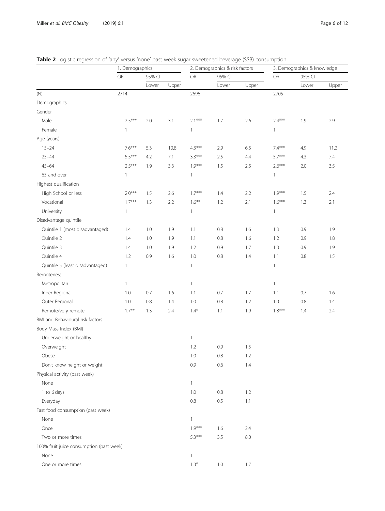|                                          | 1. Demographics |        |       |              | 2. Demographics & risk factors |       |              | 3. Demographics & knowledge |       |
|------------------------------------------|-----------------|--------|-------|--------------|--------------------------------|-------|--------------|-----------------------------|-------|
|                                          | <b>OR</b>       | 95% CI |       | OR           | 95% CI                         |       | <b>OR</b>    | 95% CI                      |       |
|                                          |                 | Lower  | Upper |              | Lower                          | Upper |              | Lower                       | Upper |
| (N)                                      | 2714            |        |       | 2696         |                                |       | 2705         |                             |       |
| Demographics                             |                 |        |       |              |                                |       |              |                             |       |
| Gender                                   |                 |        |       |              |                                |       |              |                             |       |
| Male                                     | $2.5***$        | 2.0    | 3.1   | $2.1***$     | 1.7                            | 2.6   | $2.4***$     | 1.9                         | 2.9   |
| Female                                   | $\mathbf{1}$    |        |       | 1            |                                |       | 1            |                             |       |
| Age (years)                              |                 |        |       |              |                                |       |              |                             |       |
| $15 - 24$                                | $7.6***$        | 5.3    | 10.8  | $4.3***$     | 2.9                            | 6.5   | $7.4***$     | 4.9                         | 11.2  |
| $25 - 44$                                | $5.5***$        | 4.2    | 7.1   | $3.3***$     | 2.5                            | 4.4   | $5.7***$     | 4.3                         | 7.4   |
| $45 - 64$                                | $2.5***$        | 1.9    | 3.3   | $1.9***$     | 1.5                            | 2.5   | $2.6***$     | 2.0                         | 3.5   |
| 65 and over                              | $\mathbf{1}$    |        |       | $\mathbf{1}$ |                                |       | $\mathbf{1}$ |                             |       |
| Highest qualification                    |                 |        |       |              |                                |       |              |                             |       |
| High School or less                      | $2.0***$        | 1.5    | 2.6   | $1.7***$     | 1.4                            | 2.2   | $1.9***$     | 1.5                         | 2.4   |
| Vocational                               | $1.7***$        | 1.3    | 2.2   | $1.6***$     | 1.2                            | 2.1   | $1.6***$     | 1.3                         | 2.1   |
| University                               | $\mathbf{1}$    |        |       | 1            |                                |       | 1            |                             |       |
| Disadvantage quintile                    |                 |        |       |              |                                |       |              |                             |       |
| Quintile 1 (most disadvantaged)          | 1.4             | 1.0    | 1.9   | 1.1          | $0.8\,$                        | 1.6   | 1.3          | 0.9                         | 1.9   |
| Quintile 2                               | 1.4             | 1.0    | 1.9   | 1.1          | 0.8                            | 1.6   | 1.2          | 0.9                         | 1.8   |
| Quintile 3                               | 1.4             | 1.0    | 1.9   | 1.2          | 0.9                            | 1.7   | 1.3          | 0.9                         | 1.9   |
| Quintile 4                               | 1.2             | 0.9    | 1.6   | $1.0\,$      | $0.8\,$                        | 1.4   | 1.1          | 0.8                         | 1.5   |
| Quintile 5 (least disadvantaged)         | $\mathbf{1}$    |        |       | $\mathbf{1}$ |                                |       | $\mathbf{1}$ |                             |       |
| Remoteness                               |                 |        |       |              |                                |       |              |                             |       |
| Metropolitan                             | $\mathbf{1}$    |        |       | $\mathbf{1}$ |                                |       | $\mathbf{1}$ |                             |       |
| Inner Regional                           | 1.0             | 0.7    | 1.6   | 1.1          | 0.7                            | 1.7   | 1.1          | 0.7                         | 1.6   |
| Outer Regional                           | 1.0             | 0.8    | 1.4   | 1.0          | 0.8                            | 1.2   | 1.0          | 0.8                         | 1.4   |
| Remote/very remote                       | $1.7***$        | 1.3    | 2.4   | $1.4*$       | 1.1                            | 1.9   | $1.8***$     | 1.4                         | 2.4   |
| BMI and Behavioural risk factors         |                 |        |       |              |                                |       |              |                             |       |
| Body Mass Index (BMI)                    |                 |        |       |              |                                |       |              |                             |       |
| Underweight or healthy                   |                 |        |       | $\mathbf{1}$ |                                |       |              |                             |       |
| Overweight                               |                 |        |       | 1.2          | 0.9                            | 1.5   |              |                             |       |
| Obese                                    |                 |        |       | 1.0          | 0.8                            | 1.2   |              |                             |       |
| Don't know height or weight              |                 |        |       | 0.9          | 0.6                            | 1.4   |              |                             |       |
| Physical activity (past week)            |                 |        |       |              |                                |       |              |                             |       |
| None                                     |                 |        |       | $\mathbf{1}$ |                                |       |              |                             |       |
| 1 to 6 days                              |                 |        |       | 1.0          | $0.8\,$                        | 1.2   |              |                             |       |
| Everyday                                 |                 |        |       | 0.8          | 0.5                            | 1.1   |              |                             |       |
| Fast food consumption (past week)        |                 |        |       |              |                                |       |              |                             |       |
| None                                     |                 |        |       | $\mathbf{1}$ |                                |       |              |                             |       |
| Once                                     |                 |        |       | $1.9***$     | 1.6                            | 2.4   |              |                             |       |
| Two or more times                        |                 |        |       | $5.3***$     | 3.5                            | 8.0   |              |                             |       |
| 100% fruit juice consumption (past week) |                 |        |       |              |                                |       |              |                             |       |
| None                                     |                 |        |       | 1            |                                |       |              |                             |       |
| One or more times                        |                 |        |       | $1.3*$       | 1.0                            | 1.7   |              |                             |       |

## <span id="page-7-0"></span>Table 2 Logistic regression of 'any' versus 'none' past week sugar sweetened beverage (SSB) consumption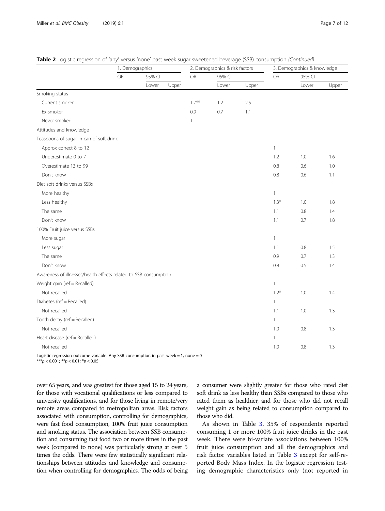|                                                                  | 1. Demographics |        |       |              | 2. Demographics & risk factors |       |              | 3. Demographics & knowledge |       |  |
|------------------------------------------------------------------|-----------------|--------|-------|--------------|--------------------------------|-------|--------------|-----------------------------|-------|--|
|                                                                  | <b>OR</b>       | 95% CI |       | <b>OR</b>    | 95% CI                         |       | <b>OR</b>    | 95% CI                      |       |  |
|                                                                  |                 | Lower  | Upper |              | Lower                          | Upper |              | Lower                       | Upper |  |
| Smoking status                                                   |                 |        |       |              |                                |       |              |                             |       |  |
| Current smoker                                                   |                 |        |       | $1.7***$     | 1.2                            | 2.5   |              |                             |       |  |
| Ex-smoker                                                        |                 |        |       | 0.9          | 0.7                            | 1.1   |              |                             |       |  |
| Never smoked                                                     |                 |        |       | $\mathbf{1}$ |                                |       |              |                             |       |  |
| Attitudes and knowledge                                          |                 |        |       |              |                                |       |              |                             |       |  |
| Teaspoons of sugar in can of soft drink                          |                 |        |       |              |                                |       |              |                             |       |  |
| Approx correct 8 to 12                                           |                 |        |       |              |                                |       | $\mathbf{1}$ |                             |       |  |
| Underestimate 0 to 7                                             |                 |        |       |              |                                |       | 1.2          | 1.0                         | 1.6   |  |
| Overestimate 13 to 99                                            |                 |        |       |              |                                |       | 0.8          | 0.6                         | 1.0   |  |
| Don't know                                                       |                 |        |       |              |                                |       | $0.8\,$      | 0.6                         | 1.1   |  |
| Diet soft drinks versus SSBs                                     |                 |        |       |              |                                |       |              |                             |       |  |
| More healthy                                                     |                 |        |       |              |                                |       | $\mathbf{1}$ |                             |       |  |
| Less healthy                                                     |                 |        |       |              |                                |       | $1.3*$       | 1.0                         | 1.8   |  |
| The same                                                         |                 |        |       |              |                                |       | 1.1          | 0.8                         | 1.4   |  |
| Don't know                                                       |                 |        |       |              |                                |       | 1.1          | 0.7                         | 1.8   |  |
| 100% Fruit juice versus SSBs                                     |                 |        |       |              |                                |       |              |                             |       |  |
| More sugar                                                       |                 |        |       |              |                                |       | $\mathbf{1}$ |                             |       |  |
| Less sugar                                                       |                 |        |       |              |                                |       | 1.1          | 0.8                         | 1.5   |  |
| The same                                                         |                 |        |       |              |                                |       | 0.9          | 0.7                         | 1.3   |  |
| Don't know                                                       |                 |        |       |              |                                |       | 0.8          | 0.5                         | 1.4   |  |
| Awareness of illnesses/health effects related to SSB consumption |                 |        |       |              |                                |       |              |                             |       |  |
| Weight gain (ref = Recalled)                                     |                 |        |       |              |                                |       | $\mathbf{1}$ |                             |       |  |
| Not recalled                                                     |                 |        |       |              |                                |       | $1.2*$       | 1.0                         | 1.4   |  |
| Diabetes (ref = Recalled)                                        |                 |        |       |              |                                |       | $\mathbf{1}$ |                             |       |  |
| Not recalled                                                     |                 |        |       |              |                                |       | 1.1          | 1.0                         | 1.3   |  |
| Tooth decay (ref = Recalled)                                     |                 |        |       |              |                                |       | $\mathbf{1}$ |                             |       |  |
| Not recalled                                                     |                 |        |       |              |                                |       | 1.0          | 0.8                         | 1.3   |  |
| Heart disease (ref = Recalled)                                   |                 |        |       |              |                                |       | $\mathbf{1}$ |                             |       |  |
| Not recalled                                                     |                 |        |       |              |                                |       | 1.0          | 0.8                         | 1.3   |  |

Table 2 Logistic regression of 'any' versus 'none' past week sugar sweetened beverage (SSB) consumption (Continued)

Logistic regression outcome variable: Any SSB consumption in past week = 1, none =  $0$ 

\*\*\* $p < 0.001$ ; \*\* $p < 0.01$ ; \* $p < 0.05$ 

over 65 years, and was greatest for those aged 15 to 24 years, for those with vocational qualifications or less compared to university qualifications, and for those living in remote/very remote areas compared to metropolitan areas. Risk factors associated with consumption, controlling for demographics, were fast food consumption, 100% fruit juice consumption and smoking status. The association between SSB consumption and consuming fast food two or more times in the past week (compared to none) was particularly strong at over 5 times the odds. There were few statistically significant relationships between attitudes and knowledge and consumption when controlling for demographics. The odds of being a consumer were slightly greater for those who rated diet soft drink as less healthy than SSBs compared to those who rated them as healthier, and for those who did not recall weight gain as being related to consumption compared to those who did.

As shown in Table [3](#page-9-0), 35% of respondents reported consuming 1 or more 100% fruit juice drinks in the past week. There were bi-variate associations between 100% fruit juice consumption and all the demographics and risk factor variables listed in Table [3](#page-9-0) except for self-reported Body Mass Index. In the logistic regression testing demographic characteristics only (not reported in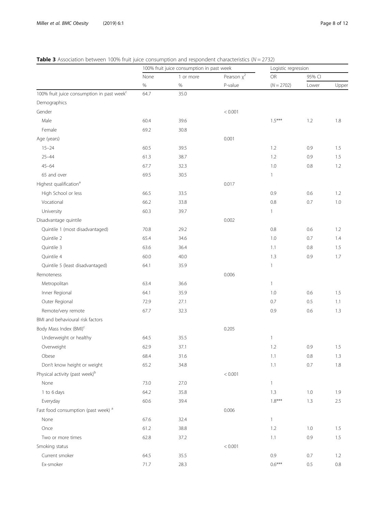<span id="page-9-0"></span>

| <b>Table 3</b> Association between 100% fruit juice consumption and respondent characteristics ( $N = 2732$ ) |  |  |  |  |  |  |  |
|---------------------------------------------------------------------------------------------------------------|--|--|--|--|--|--|--|
|---------------------------------------------------------------------------------------------------------------|--|--|--|--|--|--|--|

|                                                        |      | 100% fruit juice consumption in past week |                  | Logistic regression |         |         |  |
|--------------------------------------------------------|------|-------------------------------------------|------------------|---------------------|---------|---------|--|
|                                                        | None | 1 or more                                 | Pearson $\chi^2$ | ${\sf OR}$          | 95% CI  |         |  |
|                                                        | $\%$ | $\%$                                      | P-value          | $(N = 2702)$        | Lower   | Upper   |  |
| 100% fruit juice consumption in past week <sup>c</sup> | 64.7 | 35.0                                      |                  |                     |         |         |  |
| Demographics                                           |      |                                           |                  |                     |         |         |  |
| Gender                                                 |      |                                           | < 0.001          |                     |         |         |  |
| Male                                                   | 60.4 | 39.6                                      |                  | $1.5***$            | 1.2     | 1.8     |  |
| Female                                                 | 69.2 | 30.8                                      |                  |                     |         |         |  |
| Age (years)                                            |      |                                           | 0.001            |                     |         |         |  |
| $15 - 24$                                              | 60.5 | 39.5                                      |                  | 1.2                 | 0.9     | 1.5     |  |
| $25 - 44$                                              | 61.3 | 38.7                                      |                  | 1.2                 | 0.9     | 1.5     |  |
| $45 - 64$                                              | 67.7 | 32.3                                      |                  | 1.0                 | 0.8     | 1.2     |  |
| 65 and over                                            | 69.5 | 30.5                                      |                  | $\mathbf{1}$        |         |         |  |
| Highest qualification <sup>a</sup>                     |      |                                           | 0.017            |                     |         |         |  |
| High School or less                                    | 66.5 | 33.5                                      |                  | 0.9                 | 0.6     | 1.2     |  |
| Vocational                                             | 66.2 | 33.8                                      |                  | 0.8                 | 0.7     | 1.0     |  |
| University                                             | 60.3 | 39.7                                      |                  | $\mathbf{1}$        |         |         |  |
| Disadvantage quintile                                  |      |                                           | 0.002            |                     |         |         |  |
| Quintile 1 (most disadvantaged)                        | 70.8 | 29.2                                      |                  | 0.8                 | 0.6     | 1.2     |  |
| Quintile 2                                             | 65.4 | 34.6                                      |                  | 1.0                 | 0.7     | 1.4     |  |
| Quintile 3                                             | 63.6 | 36.4                                      |                  | 1.1                 | 0.8     | 1.5     |  |
| Quintile 4                                             | 60.0 | 40.0                                      |                  | 1.3                 | 0.9     | 1.7     |  |
| Quintile 5 (least disadvantaged)                       | 64.1 | 35.9                                      |                  | $\mathbf{1}$        |         |         |  |
| Remoteness                                             |      |                                           | 0.006            |                     |         |         |  |
| Metropolitan                                           | 63.4 | 36.6                                      |                  | $\mathbf{1}$        |         |         |  |
| Inner Regional                                         | 64.1 | 35.9                                      |                  | 1.0                 | 0.6     | 1.5     |  |
| Outer Regional                                         | 72.9 | 27.1                                      |                  | 0.7                 | $0.5\,$ | 1.1     |  |
| Remote/very remote                                     | 67.7 | 32.3                                      |                  | 0.9                 | 0.6     | 1.3     |  |
| BMI and behavioural risk factors                       |      |                                           |                  |                     |         |         |  |
| Body Mass Index (BMI) <sup>c</sup>                     |      |                                           | 0.205            |                     |         |         |  |
| Underweight or healthy                                 | 64.5 | 35.5                                      |                  | $\mathbf{1}$        |         |         |  |
| Overweight                                             | 62.9 | 37.1                                      |                  | 1.2                 | 0.9     | 1.5     |  |
| Obese                                                  | 68.4 | 31.6                                      |                  | 1.1                 | $0.8\,$ | 1.3     |  |
| Don't know height or weight                            | 65.2 | 34.8                                      |                  | $1.1\,$             | $0.7\,$ | 1.8     |  |
| Physical activity (past week) <sup>b</sup>             |      |                                           | < 0.001          |                     |         |         |  |
| None                                                   | 73.0 | 27.0                                      |                  | $\mathbf{1}$        |         |         |  |
| 1 to 6 days                                            | 64.2 | 35.8                                      |                  | 1.3                 | 1.0     | 1.9     |  |
| Everyday                                               | 60.6 | 39.4                                      |                  | $1.8***$            | 1.3     | $2.5\,$ |  |
| Fast food consumption (past week) <sup>a</sup>         |      |                                           | 0.006            |                     |         |         |  |
| None                                                   | 67.6 | 32.4                                      |                  | $\mathbf{1}$        |         |         |  |
| Once                                                   | 61.2 | 38.8                                      |                  | 1.2                 | 1.0     | 1.5     |  |
| Two or more times                                      | 62.8 | 37.2                                      |                  | 1.1                 | 0.9     | $1.5\,$ |  |
| Smoking status                                         |      |                                           | < 0.001          |                     |         |         |  |
| Current smoker                                         | 64.5 | 35.5                                      |                  | 0.9                 | 0.7     | 1.2     |  |
| Ex-smoker                                              | 71.7 | 28.3                                      |                  | $0.6***$            | $0.5\,$ | $0.8\,$ |  |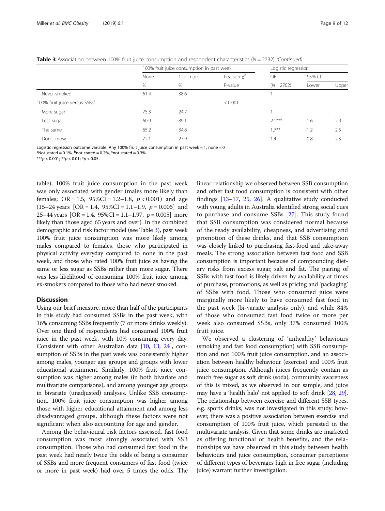**Table 3** Association between 100% fruit juice consumption and respondent characteristics ( $N = 2732$ ) (Continued)

|                                           |      | 100% fruit juice consumption in past week |               |              | Logistic regression |       |  |  |
|-------------------------------------------|------|-------------------------------------------|---------------|--------------|---------------------|-------|--|--|
|                                           | None | or more                                   | Pearson $x^2$ | <b>OR</b>    | 95% CI              |       |  |  |
|                                           | %    | %                                         | P-value       | $(N = 2702)$ | Lower               | Upper |  |  |
| Never smoked                              | 61.4 | 38.6                                      |               |              |                     |       |  |  |
| 100% fruit juice versus SSBs <sup>a</sup> |      |                                           | < 0.001       |              |                     |       |  |  |
| More sugar                                | 75.3 | 24.7                                      |               |              |                     |       |  |  |
| Less sugar                                | 60.9 | 39.1                                      |               | $2.1***$     | 1.6                 | 2.9   |  |  |
| The same                                  | 65.2 | 34.8                                      |               | $1.7***$     | 1.2                 | 2.5   |  |  |
| Don't know                                | 72.1 | 27.9                                      |               | 1.4          | 0.8                 | 2.3   |  |  |

Logistic regression outcome variable: Any 100% fruit juice consumption in past week = 1, none = 0

 $\mathrm{^{a}Not\, stated} = 0.1\%$ ,  $\mathrm{^{b}not\, stated} = 0.2\%$ ,  $\mathrm{^{c}not\, stated} = 0.3\%$ 

\*\*\*p < 0.001; \*\*p < 0.01; \*p < 0.05

table), 100% fruit juice consumption in the past week was only associated with gender (males more likely than females; OR = 1.5,  $95\%CI = 1.2-1.8$ ,  $p < 0.001$ ) and age  $(15–24 \text{ years}$  [OR = 1.4, 95%CI = 1.1–1.9,  $p = 0.005$ ] and 25–44 years  $[OR = 1.4, 95\% CI = 1.1 - 1.97, p = 0.005]$  more likely than those aged 65 years and over). In the combined demographic and risk factor model (see Table [3\)](#page-9-0), past week 100% fruit juice consumption was more likely among males compared to females, those who participated in physical activity everyday compared to none in the past week, and those who rated 100% fruit juice as having the same or less sugar as SSBs rather than more sugar. There was less likelihood of consuming 100% fruit juice among ex-smokers compared to those who had never smoked.

### **Discussion**

Using our brief measure, more than half of the participants in this study had consumed SSBs in the past week, with 16% consuming SSBs frequently (7 or more drinks weekly). Over one third of respondents had consumed 100% fruit juice in the past week, with 10% consuming every day. Consistent with other Australian data [[10](#page-12-0), [13,](#page-12-0) [24\]](#page-13-0), consumption of SSBs in the past week was consistently higher among males, younger age groups and groups with lower educational attainment. Similarly, 100% fruit juice consumption was higher among males (in both bivariate and multivariate comparisons), and among younger age groups in bivariate (unadjusted) analyses. Unlike SSB consumption, 100% fruit juice consumption was higher among those with higher educational attainment and among less disadvantaged groups, although these factors were not significant when also accounting for age and gender.

Among the behavioural risk factors assessed, fast food consumption was most strongly associated with SSB consumption. Those who had consumed fast food in the past week had nearly twice the odds of being a consumer of SSBs and more frequent consumers of fast food (twice or more in past week) had over 5 times the odds. The linear relationship we observed between SSB consumption and other fast food consumption is consistent with other findings [\[13](#page-12-0)–[17,](#page-12-0) [25](#page-13-0), [26\]](#page-13-0). A qualitative study conducted with young adults in Australia identified strong social cues to purchase and consume SSBs [[27](#page-13-0)]. This study found that SSB consumption was considered normal because of the ready availability, cheapness, and advertising and promotion of these drinks, and that SSB consumption was closely linked to purchasing fast-food and take-away meals. The strong association between fast food and SSB consumption is important because of compounding dietary risks from excess sugar, salt and fat. The pairing of SSBs with fast food is likely driven by availability at times of purchase, promotions, as well as pricing and 'packaging' of SSBs with food. Those who consumed juice were marginally more likely to have consumed fast food in the past week (bi-variate analysis only), and while 84% of those who consumed fast food twice or more per week also consumed SSBs, only 37% consumed 100% fruit juice.

We observed a clustering of 'unhealthy' behaviours (smoking and fast food consumption) with SSB consumption and not 100% fruit juice consumption, and an association between healthy behaviour (exercise) and 100% fruit juice consumption. Although juices frequently contain as much free sugar as soft drink (soda), community awareness of this is mixed, as we observed in our sample, and juice may have a 'health halo' not applied to soft drink [\[28,](#page-13-0) [29](#page-13-0)]. The relationship between exercise and different SSB types, e.g. sports drinks, was not investigated in this study; however, there was a positive association between exercise and consumption of 100% fruit juice, which persisted in the multivariate analysis. Given that some drinks are marketed as offering functional or health benefits, and the relationships we have observed in this study between health behaviours and juice consumption, consumer perceptions of different types of beverages high in free sugar (including juice) warrant further investigation.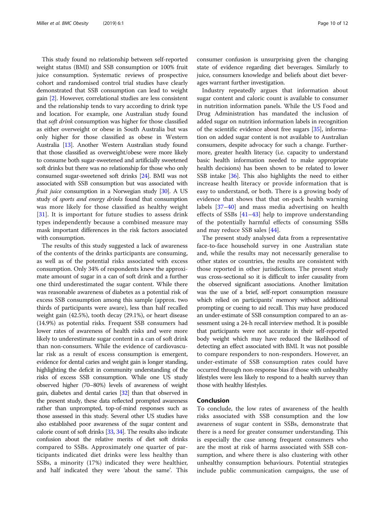This study found no relationship between self-reported weight status (BMI) and SSB consumption or 100% fruit juice consumption. Systematic reviews of prospective cohort and randomised control trial studies have clearly demonstrated that SSB consumption can lead to weight gain [[2](#page-12-0)]. However, correlational studies are less consistent and the relationship tends to vary according to drink type and location. For example, one Australian study found that soft drink consumption was higher for those classified as either overweight or obese in South Australia but was only higher for those classified as obese in Western Australia [\[13](#page-12-0)]. Another Western Australian study found that those classified as overweight/obese were more likely to consume both sugar-sweetened and artificially sweetened soft drinks but there was no relationship for those who only consumed sugar-sweetened soft drinks [[24](#page-13-0)]. BMI was not associated with SSB consumption but was associated with fruit juice consumption in a Norwegian study [[30](#page-13-0)]. A US study of sports and energy drinks found that consumption was more likely for those classified as healthy weight [[31\]](#page-13-0). It is important for future studies to assess drink types independently because a combined measure may mask important differences in the risk factors associated with consumption.

The results of this study suggested a lack of awareness of the contents of the drinks participants are consuming, as well as of the potential risks associated with excess consumption. Only 34% of respondents knew the approximate amount of sugar in a can of soft drink and a further one third underestimated the sugar content. While there was reasonable awareness of diabetes as a potential risk of excess SSB consumption among this sample (approx. two thirds of participants were aware), less than half recalled weight gain (42.5%), tooth decay (29.1%), or heart disease (14.9%) as potential risks. Frequent SSB consumers had lower rates of awareness of health risks and were more likely to underestimate sugar content in a can of soft drink than non-consumers. While the evidence of cardiovascular risk as a result of excess consumption is emergent, evidence for dental caries and weight gain is longer standing, highlighting the deficit in community understanding of the risks of excess SSB consumption. While one US study observed higher (70–80%) levels of awareness of weight gain, diabetes and dental caries [\[32](#page-13-0)] than that observed in the present study, these data reflected prompted awareness rather than unprompted, top-of-mind responses such as those assessed in this study. Several other US studies have also established poor awareness of the sugar content and calorie count of soft drinks [\[33](#page-13-0), [34](#page-13-0)]. The results also indicate confusion about the relative merits of diet soft drinks compared to SSBs. Approximately one quarter of participants indicated diet drinks were less healthy than SSBs, a minority (17%) indicated they were healthier, and half indicated they were 'about the same'. This consumer confusion is unsurprising given the changing state of evidence regarding diet beverages. Similarly to juice, consumers knowledge and beliefs about diet beverages warrant further investigation.

Industry repeatedly argues that information about sugar content and caloric count is available to consumer in nutrition information panels. While the US Food and Drug Administration has mandated the inclusion of added sugar on nutrition information labels in recognition of the scientific evidence about free sugars [\[35\]](#page-13-0), information on added sugar content is not available to Australian consumers, despite advocacy for such a change. Furthermore, greater health literacy (i.e. capacity to understand basic health information needed to make appropriate health decisions) has been shown to be related to lower SSB intake [[36](#page-13-0)]. This also highlights the need to either increase health literacy or provide information that is easy to understand, or both. There is a growing body of evidence that shows that that on-pack health warning labels [\[37](#page-13-0)–[40](#page-13-0)] and mass media advertising on health effects of SSBs [[41](#page-13-0)–[43](#page-13-0)] help to improve understanding of the potentially harmful effects of consuming SSBs and may reduce SSB sales [[44\]](#page-13-0).

The present study analysed data from a representative face-to-face household survey in one Australian state and, while the results may not necessarily generalise to other states or countries, the results are consistent with those reported in other jurisdictions. The present study was cross-sectional so it is difficult to infer causality from the observed significant associations. Another limitation was the use of a brief, self-report consumption measure which relied on participants' memory without additional prompting or cueing to aid recall. This may have produced an under-estimate of SSB consumption compared to an assessment using a 24-h recall interview method. It is possible that participants were not accurate in their self-reported body weight which may have reduced the likelihood of detecting an effect associated with BMI. It was not possible to compare responders to non-responders. However, an under-estimate of SSB consumption rates could have occurred through non-response bias if those with unhealthy lifestyles were less likely to respond to a health survey than those with healthy lifestyles.

## Conclusion

To conclude, the low rates of awareness of the health risks associated with SSB consumption and the low awareness of sugar content in SSBs, demonstrate that there is a need for greater consumer understanding. This is especially the case among frequent consumers who are the most at risk of harms associated with SSB consumption, and where there is also clustering with other unhealthy consumption behaviours. Potential strategies include public communication campaigns, the use of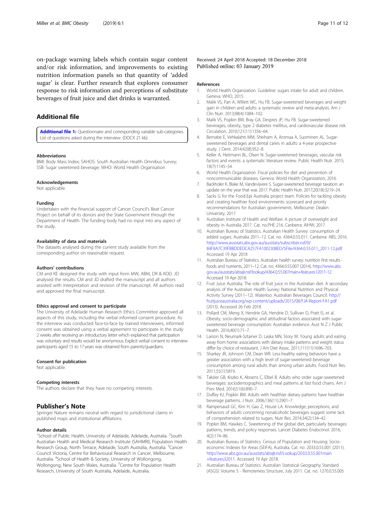<span id="page-12-0"></span>on-package warning labels which contain sugar content and/or risk information, and improvements to existing nutrition information panels so that quantity of 'added sugar' is clear. Further research that explores consumer response to risk information and perceptions of substitute beverages of fruit juice and diet drinks is warranted.

## Additional file

[Additional file 1:](https://doi.org/10.1186/s40608-018-0224-2) Questionnaire and corresponding variable sub-categories. List of questions asked during the interview. (DOCX 21 kb)

#### **Abbreviations**

BMI: Body Mass Index; SAHOS: South Australian Health Omnibus Survey; SSB: Sugar sweetened beverage; WHO: World Health Organisation

#### Acknowledgements

Not applicable.

#### Funding

Undertaken with the financial support of Cancer Council's Beat Cancer Project on behalf of its donors and the State Government through the Department of Health. The funding body had no input into any aspect of the study.

#### Availability of data and materials

The datasets analysed during the current study available from the corresponding author on reasonable request.

#### Authors' contributions

CM and KE designed the study with input from MW, ABM, DR & KOD. JD analysed the results. CM and JD drafted the manuscript and all authors assisted with interpretation and revision of the manuscript. All authors read and approved the final manuscript.

#### Ethics approval and consent to participate

The University of Adelaide Human Research Ethics Committee approved all aspects of this study, including the verbal informed consent procedure. As the interview was conducted face-to-face by trained interviewers, informed consent was obtained using a verbal agreement to participate in the study 2 weeks after receiving an introductory letter which explained that participation was voluntary and results would be anonymous. Explicit verbal consent to interview participants aged 15 to 17 years was obtained from parents/guardians.

#### Consent for publication

Not applicable.

#### Competing interests

The authors declare that they have no competing interests.

#### Publisher's Note

Springer Nature remains neutral with regard to jurisdictional claims in published maps and institutional affiliations.

#### Author details

<sup>1</sup>School of Public Health, University of Adelaide, Adelaide, Australia. <sup>2</sup>South Australian Health and Medical Research Institute (SAHMRI), Population Health Research Group, North Terrace, Adelaide, South Australia, Australia. <sup>3</sup>Cancer Council Victoria, Centre for Behavioural Research in Cancer, Melbourne, Australia. <sup>4</sup>School of Health & Society, University of Wollongong, Wollongong, New South Wales, Australia. <sup>5</sup>Centre for Population Health Research, University of South Australia, Adelaide, Australia.

#### References

- 1. World Health Organization. Guideline: sugars intake for adult and children. Geneva: WHO; 2015.
- 2. Malik VS, Pan A, Willett WC, Hu FB. Sugar-sweetened beverages and weight gain in children and adults: a systematic review and meta-analysis. Am J Clin Nutr. 2013;98(4):1084–102.
- 3. Malik VS, Popkin BM, Bray GA, Despres JP, Hu FB. Sugar-sweetened beverages, obesity, type 2 diabetes mellitus, and cardiovascular disease risk. Circulation. 2010;121(11):1356–64.
- 4. Bernabe E, Vehkalahti MM, Sheiham A, Aromaa A, Suominen AL. Sugarsweetened beverages and dental caries in adults: a 4-year prospective study. J Dent. 2014;42(8):952–8.
- Keller A, Heitmann BL, Olsen N. Sugar-sweetened beverages, vascular risk factors and events: a systematic literature review. Public Health Nutr. 2015; 18(7):1145–54.
- 6. World Health Organization. Fiscal policies for diet and prevention of noncommunicable diseases. Geneva: World Health Organization; 2016.
- 7. Backholer K, Blake M, Vandevijvere S. Sugar-sweetened beverage taxation: an update on the year that was 2017. Public Health Nutr. 2017;20(18):3219–24.
- 8. Sacks G for the Food-Epi Australia project team. Policies for tackling obesity and creating healthier food environments: scorecard and priority recommendations for Australian governments. Melbourne: Deakin University; 2017.
- 9. Australian Institute of Health and Welfare. A picture of overweight and obesity in Australia 2017. Cat. no.PHE 216. Canberra: AIHW; 2017.
- 10. Australian Bureau of Statistics. Australian Health Survey: consumption of added sugars. Australia 2011–12. Cat. no. 4364.0.55.011. Canberra: ABS; 2016. [http://www.ausstats.abs.gov.au/ausstats/subscriber.nsf/0/](http://www.ausstats.abs.gov.au/ausstats/subscriber.nsf/0/84F8A7C39FBBDDEDCA257FA1002308ED/File/4364.0.55.011_2011-12.pdf) [84F8A7C39FBBDDEDCA257FA1002308ED/\\$File/4364.0.55.011\\_2011-12.pdf](http://www.ausstats.abs.gov.au/ausstats/subscriber.nsf/0/84F8A7C39FBBDDEDCA257FA1002308ED/File/4364.0.55.011_2011-12.pdf). Accessed 19 Apr 2018
- 11. Australian Bureau of Statistics. Australian health survey: nutrition first results foods and nutrients, 2011–12. Cat. no. 4364.0.55.007 (2014). [http://www.abs.](http://www.abs.gov.au/ausstats/abs@.nsf/lookup/4364.0.55.007main+features12011-12) [gov.au/ausstats/abs@.nsf/lookup/4364.0.55.007main+features12011-12.](http://www.abs.gov.au/ausstats/abs@.nsf/lookup/4364.0.55.007main+features12011-12) Accessed 19 Apr 2018.
- 12. Fruit Juice Australia. The role of fruit juice in the Australian diet. A secondary analysis of the Australian Health Survey: National Nutrition and Physical Activity Survey (2011–12). Waterloo: Australian Beverages Council. [http://](http://fruitjuiceaustralia.org/wp-content/uploads/2015/08/FJA-Report-FA1.pdf) [fruitjuiceaustralia.org/wp-content/uploads/2015/08/FJA-Report-FA1.pdf](http://fruitjuiceaustralia.org/wp-content/uploads/2015/08/FJA-Report-FA1.pdf) (2013). Accessed 26 Feb 2018
- 13. Pollard CM, Meng X, Hendrie GA, Hendrie D, Sullivan D, Pratt IS, et al. Obesity, socio-demographic and attitudinal factors associated with sugarsweetened beverage consumption: Australian evidence. Aust N Z J Public Health. 2016;40(1):71–7.
- 14. Larson N, Neumark-Sztainer D, Laska MN, Story M. Young adults and eating away from home: associations with dietary intake patterns and weight status differ by choice of restaurant. J Am Diet Assoc. 2011;111(11):1696–703.
- 15. Sharkey JR, Johnson CM, Dean WR. Less-healthy eating behaviors have a greater association with a high level of sugar-sweetened beverage consumption among rural adults than among urban adults. Food Nutr Res. 2011;55(1):5819.
- 16. Taksler GB, Kiszko K, Abrams C, Elbel B. Adults who order sugar-sweetened beverages: sociodemographics and meal patterns at fast food chains. Am J Prev Med. 2016;51(6):890–7.
- 17. Duffey KJ, Popkin BM. Adults with healthier dietary patterns have healthier beverage patterns. J Nutr. 2006;136(11):2901–7.
- 18. Rampersaud GC, Kim H, Gao Z, House LA. Knowledge, perceptions, and behaviors of adults concerning nonalcoholic beverages suggest some lack of comprehension related to sugars. Nutr Res. 2014;34(2):134–42.
- 19. Popkin BM, Hawkes C. Sweetening of the global diet, particularly beverages: patterns, trends, and policy responses. Lancet Diabetes Endocrinol. 2016; 4(2):174–86.
- 20. Australian Bureau of Statistics. Census of Population and Housing: Socioeconomic Indexes for Areas (SEIFA), Australia. Cat. no. 2033.0.55.001 (2011). [http://www.abs.gov.au/ausstats/abs@.nsf/Lookup/2033.0.55.001main](http://www.abs.gov.au/ausstats/abs@.nsf/Lookup/2033.0.55.001main+features32011) [+features32011](http://www.abs.gov.au/ausstats/abs@.nsf/Lookup/2033.0.55.001main+features32011). Accessed 19 Apr 2018.
- 21. Australian Bureau of Statistics. Australian Statistical Geography Standard (ASGS): Volume 5 - Remoteness Structure, July 2011. Cat. no. 1270.0.55.005